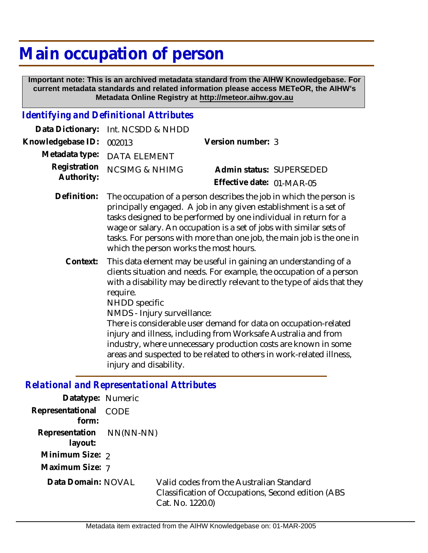## **Main occupation of person**

 **Important note: This is an archived metadata standard from the AIHW Knowledgebase. For current metadata standards and related information please access METeOR, the AIHW's Metadata Online Registry at http://meteor.aihw.gov.au**

## *Identifying and Definitional Attributes*

|                          | Data Dictionary: Int. NCSDD & NHDD                                           |                           |                          |
|--------------------------|------------------------------------------------------------------------------|---------------------------|--------------------------|
| Knowledgebase ID: 002013 |                                                                              | Version number: 3         |                          |
|                          | Metadata type: DATA ELEMENT                                                  |                           |                          |
| Authority:               | Registration NCSIMG & NHIMG                                                  |                           | Admin status: SUPERSEDED |
|                          |                                                                              | Effective date: 01-MAR-05 |                          |
|                          | Definition: The occupation of a person describes the job in which the person |                           |                          |

- The occupation of a person describes the job in which the person is principally engaged. A job in any given establishment is a set of tasks designed to be performed by one individual in return for a wage or salary. An occupation is a set of jobs with similar sets of tasks. For persons with more than one job, the main job is the one in which the person works the most hours. **Definition:**
	- This data element may be useful in gaining an understanding of a clients situation and needs. For example, the occupation of a person with a disability may be directly relevant to the type of aids that they require. **Context:**

NHDD specific

NMDS - Injury surveillance:

There is considerable user demand for data on occupation-related injury and illness, including from Worksafe Australia and from industry, where unnecessary production costs are known in some areas and suspected to be related to others in work-related illness, injury and disability.

## *Relational and Representational Attributes*

| Datatype: Numeric                   |             |                                                                                                                     |
|-------------------------------------|-------------|---------------------------------------------------------------------------------------------------------------------|
| Representational<br>form:           | <b>CODE</b> |                                                                                                                     |
| Representation NN(NN-NN)<br>layout: |             |                                                                                                                     |
| Minimum Size: 2                     |             |                                                                                                                     |
| Maximum Size: 7                     |             |                                                                                                                     |
| Data Domain: NOVAL                  |             | Valid codes from the Australian Standard<br>Classification of Occupations, Second edition (ABS)<br>Cat. No. 1220.0) |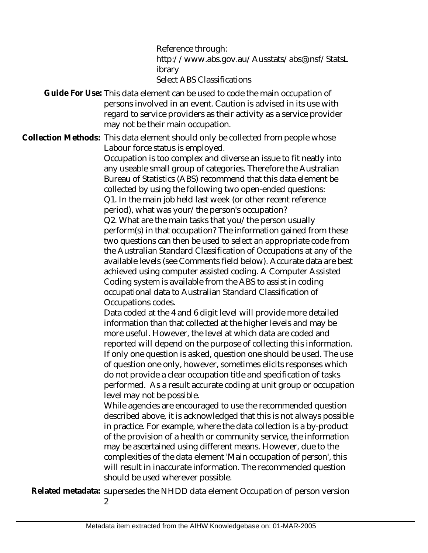Reference through: http://www.abs.gov.au/Ausstats/abs@.nsf/StatsL ibrary Select ABS Classifications

Guide For Use: This data element can be used to code the main occupation of persons involved in an event. Caution is advised in its use with regard to service providers as their activity as a service provider may not be their main occupation.

Collection Methods: This data element should only be collected from people whose Labour force status is employed.

Occupation is too complex and diverse an issue to fit neatly into any useable small group of categories. Therefore the Australian Bureau of Statistics (ABS) recommend that this data element be collected by using the following two open-ended questions: Q1. In the main job held last week (or other recent reference period), what was your/the person's occupation? Q2. What are the main tasks that you/the person usually perform(s) in that occupation? The information gained from these two questions can then be used to select an appropriate code from the Australian Standard Classification of Occupations at any of the available levels (see Comments field below). Accurate data are best achieved using computer assisted coding. A Computer Assisted Coding system is available from the ABS to assist in coding occupational data to Australian Standard Classification of Occupations codes.

Data coded at the 4 and 6 digit level will provide more detailed information than that collected at the higher levels and may be more useful. However, the level at which data are coded and reported will depend on the purpose of collecting this information. If only one question is asked, question one should be used. The use of question one only, however, sometimes elicits responses which do not provide a clear occupation title and specification of tasks performed. As a result accurate coding at unit group or occupation level may not be possible.

While agencies are encouraged to use the recommended question described above, it is acknowledged that this is not always possible in practice. For example, where the data collection is a by-product of the provision of a health or community service, the information may be ascertained using different means. However, due to the complexities of the data element 'Main occupation of person', this will result in inaccurate information. The recommended question should be used wherever possible.

Related metadata: supersedes the NHDD data element Occupation of person version

 $\mathcal{L}$